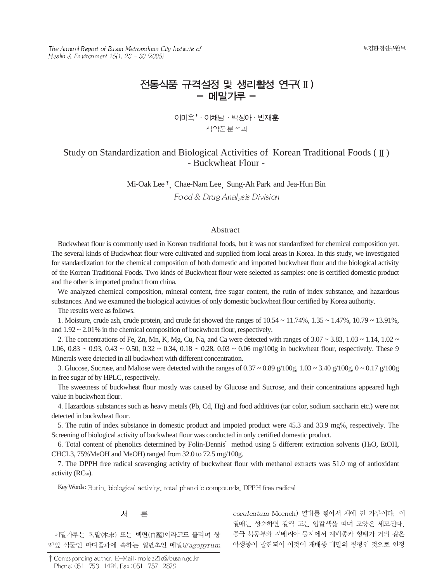보건환경연구원보

The Annual Report of Busan Metropolitan City Institute of Health & Environment  $15(1)$  23 ~ 30 (2005)

# 전통식품 규격설정 및 생리활성 연구(II) - 메밀가루 -

이미옥<sup>+</sup> · 이채남 · 박성아 · 빈재훈 식약품분석과

# Study on Standardization and Biological Activities of Korean Traditional Foods  $(\mathbb{I})$ - Buckwheat Flour -

Mi-Oak Lee<sup>†</sup>, Chae-Nam Lee, Sung-Ah Park and Jea-Hun Bin Food & Drug Analysis Division

# Abstract

Buckwheat flour is commonly used in Korean traditional foods, but it was not standardized for chemical composition yet. The several kinds of Buckwheat flour were cultivated and supplied from local areas in Korea. In this study, we investigated for standardization for the chemical composition of both domestic and imported buckwheat flour and the biological activity of the Korean Traditional Foods. Two kinds of Buckwheat flour were selected as samples: one is certified domestic product and the other is imported product from china.

We analyzed chemical composition, mineral content, free sugar content, the rutin of index substance, and hazardous substances. And we examined the biological activities of only domestic buckwheat flour certified by Korea authority.

The results were as follows.

1. Moisture, crude ash, crude protein, and crude fat showed the ranges of  $10.54 \sim 11.74\%$ ,  $1.35 \sim 1.47\%$ ,  $10.79 \sim 13.91\%$ , and  $1.92 \sim 2.01\%$  in the chemical composition of buckwheat flour, respectively.

2. The concentrations of Fe, Zn, Mn, K, Mg, Cu, Na, and Ca were detected with ranges of  $3.07 \sim 3.83$ ,  $1.03 \sim 1.14$ ,  $1.02 \sim$ 1.06,  $0.83 \sim 0.93$ ,  $0.43 \sim 0.50$ ,  $0.32 \sim 0.34$ ,  $0.18 \sim 0.28$ ,  $0.03 \sim 0.06$  mg/100g in buckwheat flour, respectively. These 9 Minerals were detected in all buckwheat with different concentration.

3. Glucose, Sucrose, and Maltose were detected with the ranges of  $0.37 \sim 0.89$  g/100g,  $1.03 \sim 3.40$  g/100g,  $0 \sim 0.17$  g/100g in free sugar of by HPLC, respectively.

The sweetness of buckwheat flour mostly was caused by Glucose and Sucrose, and their concentrations appeared high value in buckwheat flour.

4. Hazardous substances such as heavy metals (Pb, Cd, Hg) and food additives (tar color, sodium saccharin etc.) were not detected in buckwheat flour.

5. The rutin of index substance in domestic product and impoted product were 45.3 and 33.9 mg%, respectively. The Screening of biological activity of buckwheat flour was conducted in only certified domestic product.

6. Total content of phenolics determined by Folin-Dennis' method using 5 different extraction solvents (H<sub>2</sub>O, EtOH, CHCL3, 75%MeOH and MeOH) ranged from 32.0 to 72.5 mg/100g.

7. The DPPH free radical scavenging activity of buckwheat flour with methanol extracts was 51.0 mg of antioxidant activity (RC<sub>50</sub>).

Key Words: Rutin, biological activity, total phenolic compounds, DPPH free radical

#### 서 론

메밀가루는 목말(木末) 또는 백면(白麵)이라고도 불리며 쌍 떡잎 식물인 마디풀과에 속하는 일년초인 메밀(Fagopyrum esculentum Moench) 열매를 찧어서 채에 친 가루이다. 이 열매는 성숙하면 갈색 또는 암갈색을 띠며 모양은 세모진다. 중국 북동부와 시베리아 등지에서 재배종과 형태가 거의 같은 야생종이 발견되어 이것이 재배종 메밀의 원형인 것으로 인정

<sup>†</sup> Corresponding author. E-Mail: mole e21 c@busan.go.kr Phone: 051-753-1424, Fax: 051-757-2879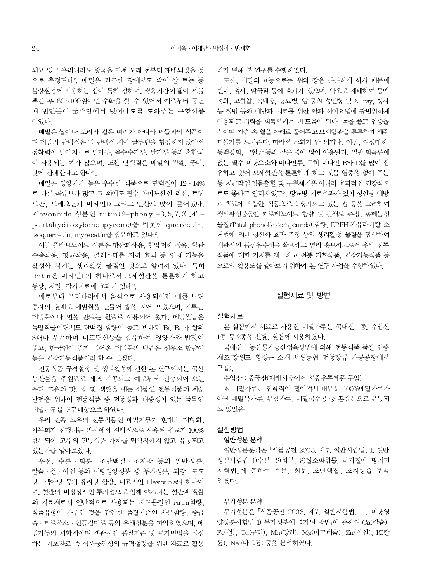되고 있고 우리나라도 중국을 거쳐 오래 전부터 재배되었을 것 으로 추정된다<sup>11</sup>. 메밀은 건조한 땅에서도 싹이 잘 트는 등 불량환경에 적응하는 힘이 특히 강하며, 생육기간이 짧아 씨를 뿌린 후 60~100일이면 수확을 할 수 있어서 예로부터 흉년 때 빈민들이 굶주림에서 벗어나도록 도와주는 구황식품 이었다.

메밀은 쌀이나 보리와 같은 벼과가 아니라 버들과의 식품이 며 메밀의 단백질은 밀 단백질 처럼 글루텐을 형성하지 않아서 전착력이 떨어지므로 밀가루, 옥수수가루, 쌀가루 등과 혼합되 어 사용되는 예가 많으며, 또한 단백질은 메밀의 색깔, 풍미, 맛에 관계한다고 한다2).

메밀은 영양가가 높은 우수한 식품으로 단백질이 12~14% 로 다른 곡류보다 많고 그 외에도 필수 아미노산인 리신, 트립 토판, 트레오닌과 비타민D 그리고 인산도 많이 들어있다. Flavonoids 성분인 rutin(2-phenyl-3.5.7.3'.4'pentahydroxybenzopyrone)을 비롯한 quercetin. isoquercetin, myrecetin을 함유하고 있다<sup>3)</sup>.

이들 플라보노이드 성분은 항산화작용, 혈압저하 작용, 혈관 수축작용, 항균작용, 콜레스테롤 저하 효과 등 인체 기능을 활성화 시키는 생리활성 물질인 것으로 알려져 있다. 특히 Rutin은 비타민P의 하나로서 모세혈관을 튼튼하게 하고 동상, 치질, 감기치료에 효과가 있다<sup>4</sup>.

예로부터 우리나라에서 음식으로 사용되어진 예를 보면 종자의 열매로 메밀쌀을 만들어 밥을 지어 먹었으며, 가루는 메밀묵이나 면을 만드는 원료로 이용되어 왔다. 메밀쌀밥은 녹말작물이면서도 단백질 함량이 높고 비타민 B. B. 가 쌀의 3배나 우수하며 니코틴산등을 함유하여 영양가와 밥맛이 좋고, 한국인이 즐겨 먹어온 메밀묵과 냉면은 섬유소 함량이 높은 건강기능식품이라 할 수 있겠다.

전통식품 규격설정 및 생리활성에 관한 본 연구에서는 국산 농산물을 주원료로 제조 가공되고 예로부터 전승되어 오는 우리 고유의 맛, 향 및 색깔을 내는 식품인 전통식품의 계승 발전을 위하여 전통식품 중 전통성과 대중성이 있는 품목인 메밀가루를 연구대상으로 하였다.

우리 민족 고유의 전통식품인 메밀가루가 현대의 대형화. 자동화가 진행되는 과정에서 전래적으로 사용된 원료가 100% 함유되어 고유의 전통식품 가치를 퇴색시키지 않고 유통되고 있는가를 알아보았다.

우선, 수분 · 회분 · 조단백질 · 조지방 등의 일반성분, 칼슘 · 철 · 아연 등의 미량영양성분 중 무기성분, 과당 · 포도 당 · 맥아당 등의 유리당 함량, 대표적인 Flavonols의 하나이 며, 혈관의 비정상적인 투과성으로 인해 야기되는 혈관계 질환 의 치료제로서 일반적으로 사용되는 지표물질인 rutin함량, 식품유형이 가루인 것을 감안한 품질기준인 사분함량, 중금 속 · 타르색소 · 인공감미료 등의 유해성분을 파악하였으며 메 밀가루의 과학적이며 객관적인 품질기준 및 평가방법을 설정 하는 기초자료 즉 식품공전상의 규격설정을 위한 자료로 활용 하기 위해 본 연구를 수행하였다.

또한, 메밀의 효능으로는 위와 장을 튼튼하게 하기 때문에 변비, 설사, 딸국질 등에 효과가 있으며, 약초로 재배하여 동맥 경화, 고혈압, 녹내장, 당뇨병, 암 등의 성인병 및 X-rav, 방사 능 질병 등의 예방과 치료를 위한 약과 식이요법에 광범위하게 이용되고 기력을 회복시키는 데 도움이 된다. 독을 풀고 염증을 삭이며 가슴 속 열을 아래로 풀어주고 모세혈관을 튼튼하게 해줘 피돌기를 도와준다. 따라서 소화가 안 되거나. 이질. 여성대하. 동맥경화, 고혈압 등과 같은 병에 많이 이용된다. 일반 화곡류에 없는 필수 미량요소와 비타민류, 특히 비타민 B와 D를 많이 함 유하고 있어 모세혈관을 튼튼하게 하고 잇몸 염증을 없애 주는 등 치근막염 잇몸출혈 및 구취제거뿐 아니라 효과적인 건강식으 로도 좋다고 알려져있고<sup>5</sup>, 당뇨병 치료효과가 있어 성인병 예방 과 치료에 적합한 식품으로도 평가되고 있는 점 등을 고려하여 생리활성물질인 카로테노이드 함량 및 갈색도 측정, 총페놀성 물질(Total phenolic compounds) 함량, DPPH 자유라디칼 소 거법에 의한 항산화 효과 측정 등의 생리활성 물질을 탐색하여 객관적인 품질우수성을 확보하고 널리 홍보하므로서 우리 전통 식품에 대한 가치를 제고하고 전통 기호식품, 건강기능식품 등 으로의 활용도를 알아보기 위하여 본 연구 사업을 수행하였다.

# 실험재료 및 방법

#### 실험재료

본 실험에서 시료로 사용한 메밀가루는 국내산 1종, 수입산 1종 등 2종을 선별, 실험에 사용하였다.

국내산 : 농산물가공산업육성법에 의해 전통식품 품질 인증 제조(강원도 횡성군 소재 서원농협 전통장류 가공공장에서 구입).

수입산 : 중국산(재래시장에서 시중유통제품 구입)

\* 메밀가루는 접착력이 떨어져서 대부분 100%메밀가루가 아닌 메밀묵가루, 부침가루, 메밀국수용 등 혼합분으로 유통되 고 있었음.

#### 실험방법

# 일반성분 분석

일반성분분석은 「식품공전 2003, 제7. 일반시험법, 1. 일반 성분시험법 1)수분, 2)회분, 3)질소화합물, 4)지질에 명기된 시험법」에 준하여 수분, 회분, 조단백질, 조지방을 분석 하였다.

# 무기성분 분석

무기성분은 「식품공전 2003, 제7. 일반시험법, 11. 미량영 양성분시험법 1) 무기성분에 명기된 방법」에 준하여 Ca(칼슘), Fe(철), Cu(구리), Mn(망간), Mg(마그네슘), Zn(아연), K(칼 륨). Na (나트륨) 등을 분석하였다.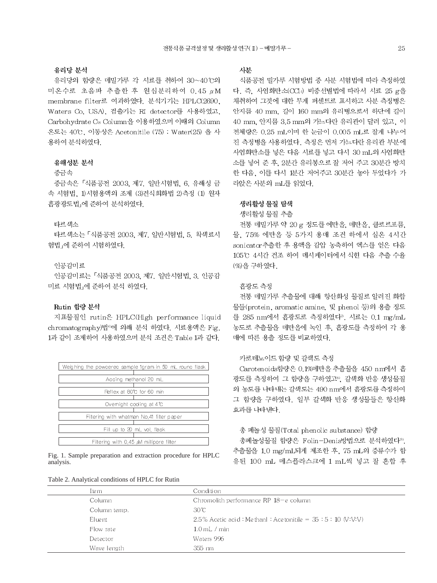#### 유리당 분석

유리당의 함량은 메밀가루 각 시료를 취하여 30~40℃의 미온수로 초음파 추출한 후 원심분리하여 0.45 μM membrane filter로 여과하였다. 분석기기는 HPLC(2690. Waters Co. USA). 검출기는 RI detector를 사용하였고. Carbohydrate C& Column을 이용하였으며 이때의 Column 온도는 40℃, 이동상은 Acetonitile (75) : Water(25) 을 사 용하여 분석하였다.

# 유해성분 분석

# 중금속

중금속은 「식품공전 2003, 제7, 일반시험법, 6, 유해성 금 속 시험법, 1)시험용액의 조제 (3)건식회화법 2)측정 (1) 원자 흡광광도법 에 준하여 분석하였다.

#### 타르색소

타르색소는 「식품공전 2003, 제7, 일반시험법, 5, 착색료시 험법 에 준하여 시험하였다.

#### 인공감미료

인공감미료는 「식품공전 2003, 제7, 일반시험법, 3, 인공감 미료 시험법 에 준하여 분석 하였다.

#### Rutin 함량 분석

지표물질인 rutin은 HPLC(High performance liquid chromatography)법<sup>60</sup>에 의해 분석 하였다. 시료용액은 Fig. 1과 같이 조제하여 사용하였으며 분석 조건은 Table 1과 같다.

| Weighing the powdered sample 1gram in 50 mL round flask |
|---------------------------------------------------------|
|                                                         |
| Accino methanol 20 mL                                   |
|                                                         |
| Reflex at 80°C for 60 min                               |
|                                                         |
| Ovemight cooling at 4 °C                                |
|                                                         |
| Fitering with whatman No.41 fiter paper                 |
|                                                         |
| Fill up to 20 mL vol. flask                             |
|                                                         |
| Filtering with 0.45 M millipore filter                  |

Fig. 1. Sample preparation and extraction procedure for HPLC analysis.

| Table 2. Analytical conditions of HPLC for Rutin |  |  |  |
|--------------------------------------------------|--|--|--|
|--------------------------------------------------|--|--|--|

# 사분

식품공전 밀가루 시험방법 중 사분 시험법에 따라 측정하였 다. 즉, 사염화탄소(CCI4) 비중선별법에 따라서 시료 25 g을 채취하여 그것에 대한 무게 퍼센트로 표시하고 사분 측정병은 안지름 40 mm, 길이 160 mm의 유리병으로서 하단에 길이 40 mm, 안지름 3.5 mm의 가느다란 유리관이 달려 있고, 이 전체량은 0.25 mL이며 한 눈금이 0.005 mL로 잘게 나누어 진 측정병을 사용하였다. 측정은 먼저 가느다란 유리관 부분에 사염화탄소를 넣은 다음 시료를 넣고 다시 30 mL의 사염화탄 소를 넣어 준 후, 2분간 유리봉으로 잘 저어 주고 30분간 방치 한 다음, 이를 다시 1분간 저어주고 30분간 놓아 두었다가 가 라앉은 사분의 mL를 읽었다.

#### 생리활성 물질 탐색

#### 생리활성 물질 추출

전통 메밀가루 약 20 g 정도를 에탄올, 메탄올, 클로르포름, 물. 75% 에탄올 등 5가지 용매 조건 하에서 실온 4시간 sonicator추출한 후 용액을 감압 농축하여 엑스를 얻은 다음 105℃ 4시간 건조 하여 데시케이터에서 식힌 다음 추출 수율 (%)을 구하였다.

#### 흡광도 측정

전통 메밀가루 추출물에 대해 항산화성 물질로 알려진 화합 물들(protein, aromatic amine, 및 phenol 등)의 용출 정도 를 285 nm에서 흡광도로 측정하였다". 시료는 0.1 mg/mL 농도로 추출물을 메탄올에 녹인 후, 흡광도를 측정하여 각 용 매에 따른 용출 정도를 비교하였다.

# 카로테노이드 함량 및 갈색도 측정

Carotenoids함량은 0.1%메탄올 추출물을 450 nm에서 흡 광도를 측정하여 그 함량을 구하였고<sup>8</sup>. 감색화 반응 생성물질 의 농도를 나타내는 갈색도는 490 nm에서 흡광도를 측정하여 그 함량을 구하였다. 일부 갈색화 반응 생성물들은 항산화 효과를 나타낸다.

# 총 페놀성 물질(Total phenolic substance) 함량

총페놀성물질 함량은 Folin-Denis방법으로 분석하였다<sup>9)</sup>. 추출물을 1.0 mg/mL되게 제조한 후, 75 mL의 증류수가 함 유된 100 mL 메스플라스크에 1 mL씩 넣고 잘 혼합 후

| Ite m        | Condition                                                     |
|--------------|---------------------------------------------------------------|
| Column       | Chromolith performance RP $18$ -e column                      |
| Column temp. | 30°C                                                          |
| El uent      | $2.5\%$ Acetic acid: Methanl: Acetonitile = $35:5:10$ (V:V:V) |
| Flow rate    | $1.0$ mL $/$ min                                              |
| Detector     | Waters 996                                                    |
| Wave length  | $355 \text{ nm}$                                              |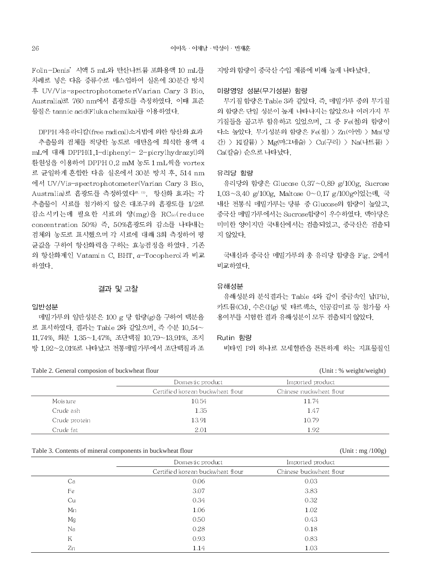Folin-Denis' 시액 5 mL와 탄산나트륨 포화용액 10 mL를 차례로 넣은 다음 증류수로 메스업하여 실온에 30분간 방치 후 UV/Vis-spectrophotometer(Varian Cary 3 Bio, Australia)로 760 nm에서 흡광도를 측정하였다. 이때 표준 물질은 tannic acid(Fluka chemika)를 이용하였다.

DPPH 자유라디칼(free radical)소거법에 의한 항산화 효과 추출물의 검체를 적당한 농도로 메탄올에 희석한 용액 4 mL에 대해 DPPH(1.1-diphenyl- 2-picrylhydrazyl)의 환원성을 이용하여 DPPH 0.2 mM 농도 1 mL씩을 vortex 로 균일하게 혼합한 다음 실온에서 30분 방치 후, 514 nm 에서 UV/Vis-spectrophotometer(Varian Cary 3 Bio. Australia)로 흡광도를 측정하였다<sup>10.10</sup>. 항산화 효과는 각 추출물이 시료를 첨가하지 않은 대조구의 흡광도를 1/2로 감소시키는데 필요한 시료의 양(mg)을 RC50(reduce concentration 50%) 즉, 50%흡광도의 감소를 나타내는 검체의 농도로 표시했으며 각 시료에 대해 3회 측정하여 평 균값을 구하여 항산화력을 구하는 효능검정을 하였다. 기존 의 항산화제인 Vatamin C, BHT, a-Tocopherol과 비교 하였다.

# 결과 및 고찰

#### 일반성분

메밀가루의 일반성분은 100 g 당 함량(g)을 구하여 백분율 로 표시하였다. 결과는 Table 2와 같았으며, 즉 수분 10.54~ 11.74%, 회분 1.35~1.47%, 조단백질 10.79~13.91%, 조지 방 1,92~2,01%로 나타났고 전통메밀가루에서 조단백질과 조

Table 2. General composion of buckwheat flour

지방의 함량이 중국산 수입 제품에 비해 높게 나타났다.

# 미량영양 성분(무기성분) 함량

무기질 함량은 Table 3과 같았다. 즉, 메밀가루 중의 무기질 의 함량은 단일 성분이 높게 나타나지는 않았으나 여러가지 무 기질들을 골고루 함유하고 있었으며, 그 중 Fe(철)의 함량이 다소 높았다. 무기성분의 함량은 Fe(철) > Zn(아연) > Mn(망 간) > K(칼륨) > Mg(마그네슘) > Cu(구리) > Na(나트륨) > Ca(칼슘) 순으로 나타났다.

### 유리당 함량

유리당의 함량은 Glucose 0.37~0.89 g/100g, Sucrose 1.03~3.40 g/100g, Maltose 0~0.17 g/100g이었는데, 국 내산 전통식 메밀가루는 당류 중 Glucose의 함량이 높았고, 중국산 메밀가루에서는 Sucrose함량이 우수하였다. 맥아당은 미미한 양이지만 국내산에서는 검출되었고, 중국산은 검출되 지 않았다.

국내산과 중국산 메밀가루의 총 유리당 함량을 Fig. 2에서 비교하였다.

#### 유해성분

유해성분의 분석결과는 Table 4와 같이 중금속인 납(Pb). 카드뮴(Cd), 수은(Hg) 및 타르색소, 인공감미료 등 첨가물 사 용여부를 시험한 결과 유해성분이 모두 검출되지 않았다.

#### Rutin 함량

비타민 P의 하나로 모세혈관을 튼튼하게 하는 지표물질인

|  | (Unit : % weight/weight) |
|--|--------------------------|
|--|--------------------------|

 $(Unit : mg / 100g)$ 

|               | Domestic product                 | Imported product        |  |
|---------------|----------------------------------|-------------------------|--|
|               | Certified korean buckwheat flour | Chinese nuckwheat flour |  |
| Moisture      | 10.54                            | 11.74                   |  |
| Crude ash     | 1.35                             | 1.47                    |  |
| Crude protein | 13.91                            | 10.79                   |  |
| Crude fat     | 2.01                             | 1.92                    |  |

#### Table 3. Contents of mineral components in buckwheat flour

|    | Domestic product                 | Imported product        |  |
|----|----------------------------------|-------------------------|--|
|    | Certified korean buckwheat flour | Chinese buckwheat flour |  |
| Ca | 0.06                             | 0.03                    |  |
| Fe | 3.07                             | 3.83                    |  |
| Cu | 0.34                             | 0.32                    |  |
| Mn | 1.06                             | 1.02                    |  |
| Mg | 0.50                             | 0.43                    |  |
| Na | 0.28                             | 0.18                    |  |
| K  | 0.93                             | 0.83                    |  |
| Zn | 1.14                             | 1.03                    |  |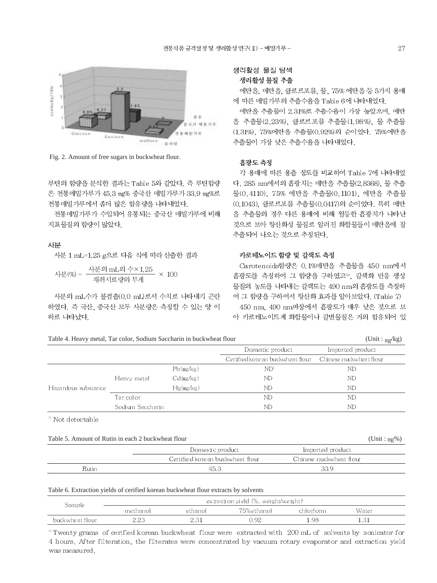

Fig. 2. Amount of free sugars in buckwheat flour.

루틴의 함량을 분석한 결과는 Table 5와 같았다. 즉 루틴함량 은 전통메밀가루가 45.3 mg% 중국산 메밀가루가 33.9 mg%로 전통메밀가루에서 좀더 많은 함유량을 나타내었다.

전통메밀가루가 수입되어 유통되는 중국산 메밀가루에 비해 지표물질의 함량이 많았다.

#### 사분

사분 1 mL=1.25 g으로 다음 식에 따라 산출한 결과

사분(%) = 
$$
\frac{\lambda \frac{129 \text{ mL}}{11} \times 1.25}{\lambda \frac{129 \text{ J}}{11} \times 100} \times 100
$$

사분의 mL수가 불검출(0.0 mL)로서 수치로 나타내기 곤란 하였다. 즉 국산, 중국산 모두 사분량은 측정할 수 있는 양 이 하로 나타났다.

생리활성 물질 탐색

# 생리활성 물질 추출

에탄올, 메탄올, 클로르포름, 물, 75% 에탄올 등 5가지 용매 에 따른 메밀가루의 추출수율을 Table 6에 나타내었다.

에탄올 추출물이 2.31%로 추출수율이 가장 높았으며, 메탄 올 추출물(2.23%). 클로르포름 추출물(1.98%). 물 추출물 (1.31%), 75%에탄올 추출물(0.92%)의 순이었다. 75%에탄올 추출물이 가장 낮은 추출수율을 나타내었다.

#### 흡광도 측정

각 용매에 따른 용출 정도를 비교하여 Table 7에 나타내었 다. 285 nm에서의 흡광치는 메탄올 추출물(2.8368). 물 추출 물(0.4110), 75% 에탄올 추출물(0.1101), 에탄올 추출물 (0.1043). 클로르포름 추출물(0.0417)의 순이었다. 특히 메탄 올 추출물의 경우 다른 용매에 비해 월등한 흡광치가 나타난 것으로 보아 항산화성 물질로 알려진 화합물들이 메탄올에 잘 추출되어 나오는 것으로 추정된다.

# 카로테노이드 함량 및 갈색도 측정

Carotenoids함량은 0.1%메탄올 추출물을 450 nm에서 흡광도를 측정하여 그 함량을 구하였고<sup>12</sup>. 갈색화 반응 생성 물질의 농도를 나타내는 갈색도는 490 nm의 흡광도를 측정하 여 그 함량을 구하여서 항산화 효과를 알아보았다. (Table 7) 450 nm, 490 nm파장에서 흡광도가 매우 낮은 것으로 보 아 카로테노이드계 화합물이나 갈변물질은 거의 함유되어 있

 $(Unit : m\sigma/kg)$ 

 $(Unit : mg\%)$ 

|  |  |  | Table 4. Heavy metal. Tar color. Sodium Saccharin in buckwheat flour |
|--|--|--|----------------------------------------------------------------------|
|  |  |  |                                                                      |

|                     |                  |           |                                                          | $\epsilon$ , $\sim$ |  |
|---------------------|------------------|-----------|----------------------------------------------------------|---------------------|--|
|                     |                  |           | Domestic product                                         | Imported product    |  |
|                     |                  |           | Certified korean buckwheat flour Chinese nuckwheat flour |                     |  |
|                     |                  | Pb(mg/kg) | ND <sup>1</sup>                                          | ND                  |  |
|                     | Heavy metal      | Cd(mg/kg) | ND                                                       | ND                  |  |
| Hazardous substance |                  | Hg(mg/kg) | ND                                                       | ND                  |  |
|                     | Tar color        |           | ND                                                       | ND                  |  |
|                     | Sodium Saccharin |           | $_{\rm ND}$                                              | ND                  |  |

 $\mathrm{^{10}}$  Not detectable

|  |  |  |  |  |  | Table 5. Amount of Rutin in each 2 buckwheat flour |  |
|--|--|--|--|--|--|----------------------------------------------------|--|
|--|--|--|--|--|--|----------------------------------------------------|--|

|       | Domestic product                  | Imported product        |  |
|-------|-----------------------------------|-------------------------|--|
|       | Certified kore an buckwheat flour | Chinese nuckwheat flour |  |
| Rutin | 45.3                              | 33.9                    |  |

# Table 6. Extraction yields of cerified korean buckwheat flour extracts by solvents

| Sample            | $\alpha$ extraction yield (%, weight/weight) |         |            |           |       |  |
|-------------------|----------------------------------------------|---------|------------|-----------|-------|--|
|                   | methanol                                     | ethanol | 75%ethanol | chlorform | Water |  |
| buck whe at flour |                                              |         | 192        | .98       |       |  |

<sup>13</sup> Twenty grams of cerified korean buckwheat flour were extracted with 200 mL of solvents by sonicator for 4 hours. After filteration, the filterates were concentrated by vacuum rotary evaporator and extraction yield was measured.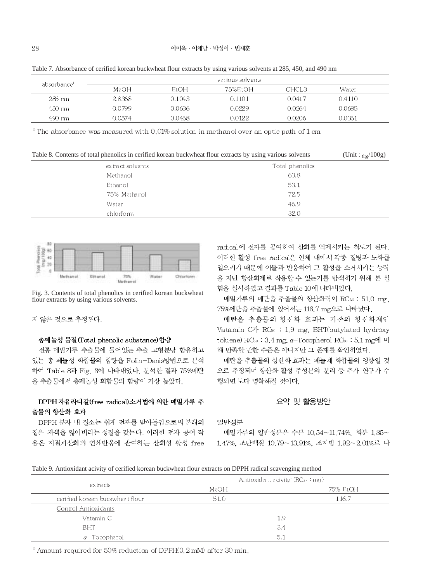| absorbance' |         |        | various solvents |                   |        |  |
|-------------|---------|--------|------------------|-------------------|--------|--|
|             | MeOH    | EtOH   | 75%EtOH          | CHCL <sub>3</sub> | Water  |  |
| 285 nm      | 2.8368  | 0.1043 | 0.1101           | 0.0417            | 0.4110 |  |
| 450 nm      | 0.0799. | 0.0636 | 0.0229           | 0.0264            | 0.0685 |  |
| 490 mm      | 0.0574  | 0.0468 | 0.0122           | 0.0206            | 0.0361 |  |

Table 7. Absorbance of cerified korean buckwheat flour extracts by using various solvents at 285, 450, and 490 nm

<sup>1</sup> The absorbance was measured with  $0.01\%$  solution in methanol over an optic path of 1 cm

Table 8. Contents of total phenolics in cerified korean buckwheat flour extracts by using various solvents  $(Unit : mg/100g)$ 

| ex tract solvents | Total phenolics |
|-------------------|-----------------|
| Methanol          | 63.8            |
| Ethanol           | 53.1            |
| 75% Methanol      | 72.5            |
| Water             | 46.9            |
| chlorform         | 32.0            |



Fig. 3. Contents of total phenolics in cerified korean buckwheat flour extracts by using various solvents.

지 않은 것으로 추정된다.

# 총페놀성 물질(Total phenolic substance) 함량

전통 메밀가루 추출물에 들어있는 추출 고형분당 함유하고 있는 총 페놀성 화합물의 함량을 Folin-Denis방법으로 분석 하여 Table 8과 Fig. 3에 나타내었다. 분석한 결과 75%메탄 올 추출물에서 총폐놀성 화합물의 함량이 가장 높았다.

# DPPH 자유라디칼(free radical)소거법에 의한 메밀가루 추 출물의 항산화 효과

DPPH 분자 내 질소는 쉽게 전자를 받아들임으로써 본래의 짙은 자색을 잃어버리는 성질을 갖는다. 이러한 전자 공여 작 용은 지질과산화의 연쇄반응에 관여하는 산화성 활성 free radical에 전자를 공여하여 산화를 억제시키는 척도가 된다. 이러한 활성 free radical은 인체 내에서 각종 질병과 노화를 일으키기 때문에 이들과 반응하여 그 활성을 소거시키는 능력 을 지닌 항산화제로 작용할 수 있는가를 탐색하기 위해 본 실 험을 실시하였고 결과를 Table 10에 나타내었다.

메밀가루의 메탄올 추출물의 항산화력이 RC50 : 51.0 mg, 75%에탄올 추출물에 있어서는 116.7 mg으로 나타났다.

메탄올 추출물의 항산화 효과는 기존의 항산화제인 Vatamin C7 RC<sub>60</sub> : 1.9 mg, BHT(butylated hydroxy toluene) RC<sub>50</sub> : 3.4 mg,  $\alpha$ -Tocopherol RC<sub>50</sub> : 5.1 mg에 비 해 만족할 만한 수준은 아니지만 그 존재를 확인하였다.

메탄올 추출물의 항산화 효과는 페놀계 화합물의 영향일 것 으로 추정되며 항산화 활성 주성분의 분리 등 추가 연구가 수 행되면 보다 명확해질 것이다.

# 요약 및 활용방안

#### 일반성분

메밀가루의 일반성분은 수분 10.54~11.74%. 회분 1.35~ 1.47%, 조단백질 10.79~13.91%, 조지방 1.92~2.01%로 나

# Table 9. Antioxidant acivity of cerified korean buckwheat flour extracts on DPPH radical scavenging method

| extracts                        | Antioxidant acivity <sup>1</sup> (RC <sub>30</sub> : mg) |          |
|---------------------------------|----------------------------------------------------------|----------|
|                                 | MeOH                                                     | 75% EtOH |
| cerified korean buckwheat flour | 51.0                                                     | 116.7    |
| Control Antioxidants            |                                                          |          |
| Vatamin C                       |                                                          | 1.9      |
| <b>BHT</b>                      |                                                          | 3.4      |
| $\alpha$ – Tocophe rol          |                                                          | 5.1      |

<sup>1</sup> Amount required for 50% reduction of DPPH $(0, 2 \text{ mM})$  after 30 min.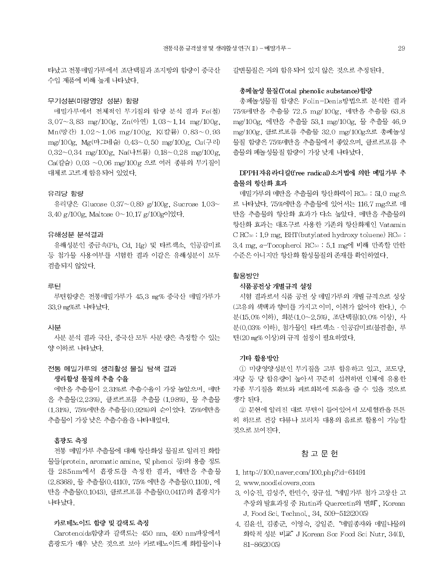타났고 전통메밀가루에서 조단백질과 조지방의 함량이 중국산 수입 제품에 비해 높게 나타났다.

#### 무기성분(미량영양 성분) 함량

메밀가루에서 전체적인 무기질의 함량 분석 결과 Fe(철) 3.07~3.83 mg/100g, Zn(아연) 1.03~1.14 mg/100g, Mn(망간) 1.02~1.06 mg/100g, K(칼륨) 0.83~0.93 mg/100g, Mg(마그네슘) 0.43~0.50 mg/100g, Cu(구리) 0.32~0.34 mg/100g, Na(나트륨) 0.18~0.28 mg/100g, Ca(칼슘) 0.03 ~0.06 mg/100g 으로 여러 종류의 무기질이 대체로 고르게 함유되어 있었다.

# 유리당 함량

유리당은 Glucose 0.37~0.89 g/100g, Sucrose 1.03~ 3.40 g/100g, Maltose 0~10.17 g/100g이었다.

#### 유해성분 분석결과

유해성분인 중금속(Pb. Cd. Hg) 및 타르색소, 인공감미료 등 첨가물 사용여부를 시험한 결과 이같은 유해성분이 모두 검출되지 않았다.

#### 루틴

루틴함량은 전통메밀가루가 45.3 mg% 중국산 메밀가루가 33.9 mg%로 나타났다.

#### 사분

사분 분석 결과 국산, 중국산 모두 사분 량은 측정할 수 있는 양 이하로 나타났다.

# 전통 메밀가루의 생리활성 물질 탐색 결과 생리활성 물질의 추출 수율

에탄올 추출물이 2.31%로 추출수율이 가장 높았으며, 메탄 올 추출물(2.23%). 클로르포름 추출물 (1.98%). 물 추출물 (1.31%), 75%에탄올 추출물(0.92%)의 순이었다. 75%에탄올 추출물이 가장 낮은 추출수율을 나타내었다.

# 흡광도 측정

전통 메밀가루 추출물에 대해 항산화성 물질로 알려진 화합 물들(protein, aromatic amine, 및 phenol 등)의 용출 정도 를 285nm에서 흡광도를 측정한 결과, 메탄올 추출물 (2,8368), 물 추출물(0,4110), 75% 에탄올 추출물(0,1101), 에 탄올 추출물(0.1043). 클로르포름 추출물(0.0417)의 흡광치가 나타났다.

#### 카로테노이드 함량 및 갈색도 측정

Carotenoids함량과 갈색도는 450 nm, 490 nm파장에서 흡광도가 매우 낮은 것으로 보아 카로테노이드계 화합물이나 갈변물질은 거의 함유되어 있지 않은 것으로 추정된다.

# 총페놀성 물질(Total phenolic substance)함량

총폐놀성물질 함량은 Folin-Denis방법으로 분석한 결과 75%메탄올 추출물 72.5 mg/100g, 메탄올 추출물 63.8 mg/100g. 에탄올 추출물 53.1 mg/100g. 물 추출물 46.9 mg/100g, 클로르포름 추출물 32.0 mg/100g으로 총페놀성 물질 함량은 75%메탄올 추출물에서 좋았으며, 클로르포름 추 출물의 페놀성물질 함량이 가장 낮게 나타났다.

# DPPH 자유라디칼(free radical)소거법에 의한 메밀가루 추 출물의 항산화 효과

메밀가루의 메탄올 추출물의 항산화력이 RC50 : 51.0 mg으 로 나타났다. 75%에탄올 추출물에 있어서는 116.7 mg으로 메 탄올 추출물의 항산화 효과가 다소 높았다. 메탄올 추출물의 항산화 효과는 대조구로 사용한 기존의 항산화제인 Vatamin CRC<sub>50</sub>: 1.9 mg, BHT(butylated hydroxy toluene) RC<sub>50</sub>: 3.4 mg, α-Tocopherol RC50 : 5.1 mg에 비해 만족할 만한 수준은 아니지만 항산화 활성물질의 존재를 확인하였다.

# 활용방안

#### 식품공전상 개별규격 설정

시험 결과로서 식품 공전 상 메밀가루의 개별 규격으로 성상 (고유의 색택과 향미를 가지고 이미, 이취가 없어야 한다.), 수 분(15.0% 이하), 회분(1.0~2.5%), 조단백질(10.0% 이상), 사 분(0.03% 이하), 첨가물인 타르색소 · 인공감미료(불검출), 루 틴(20 mg% 이상)의 규격 설정이 필요하였다.

# 기타 활용방안

1 미량영양성분인 무기질을 고루 함유하고 있고, 포도당, 자당 등 당 함유량이 높아서 꾸준히 섭취하면 인체에 유용한 각종 무기질을 확보와 피로회복에 도움을 줄 수 있을 것으로 생각 된다.

② 문헌에 알려진 대로 루틴이 들어있어서 모세혈관을 튼튼 히 하므로 건강 다류나 보리차 대용의 음료로 활용이 가능할 것으로 보여진다.

# 참 고 문 헌

- 1. http://100.naver.com/100.php?id=61491
- 2. www.noodlelovers.com
- 3. 이승진, 김성주, 한민수, 장규섭. "메밀가루 첨가 고장산 고 추장의 발효과정 중 Rutin과 Quercetin의 변화". Korean J. Food Sci. Technol., 34, 509-512(2005)
- 4. 김윤선, 김종군, 이영숙, 강일준. "메밀종자와 메밀나물의 화학적 성분 비교" J Korean Soc Food Sci Nutr, 34(1), 81-86(2005)